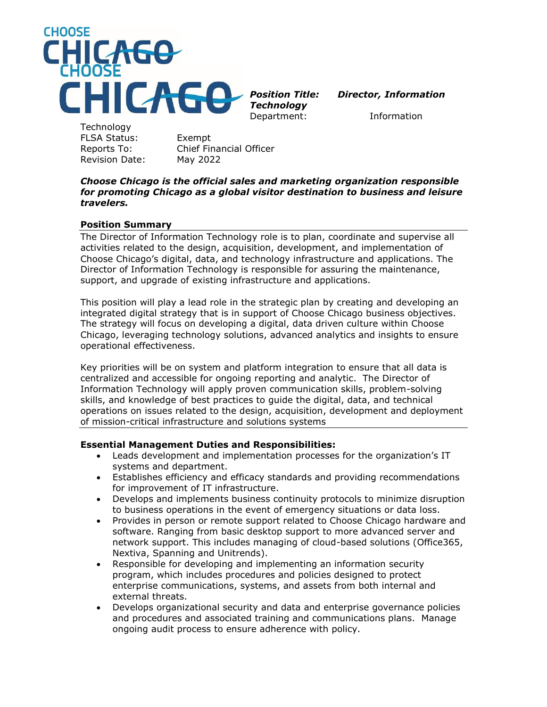

*Technology*

Department: Information

**Technology** FLSA Status: Exempt Revision Date: May 2022

Reports To: Chief Financial Officer

#### *Choose Chicago is the official sales and marketing organization responsible for promoting Chicago as a global visitor destination to business and leisure travelers.*

### **Position Summary**

The Director of Information Technology role is to plan, coordinate and supervise all activities related to the design, acquisition, development, and implementation of Choose Chicago's digital, data, and technology infrastructure and applications. The Director of Information Technology is responsible for assuring the maintenance, support, and upgrade of existing infrastructure and applications.

This position will play a lead role in the strategic plan by creating and developing an integrated digital strategy that is in support of Choose Chicago business objectives. The strategy will focus on developing a digital, data driven culture within Choose Chicago, leveraging technology solutions, advanced analytics and insights to ensure operational effectiveness.

Key priorities will be on system and platform integration to ensure that all data is centralized and accessible for ongoing reporting and analytic. The Director of Information Technology will apply proven communication skills, problem-solving skills, and knowledge of best practices to guide the digital, data, and technical operations on issues related to the design, acquisition, development and deployment of mission-critical infrastructure and solutions systems

### **Essential Management Duties and Responsibilities:**

- Leads development and implementation processes for the organization's IT systems and department.
- Establishes efficiency and efficacy standards and providing recommendations for improvement of IT infrastructure.
- Develops and implements business continuity protocols to minimize disruption to business operations in the event of emergency situations or data loss.
- Provides in person or remote support related to Choose Chicago hardware and software. Ranging from basic desktop support to more advanced server and network support. This includes managing of cloud-based solutions (Office365, Nextiva, Spanning and Unitrends).
- Responsible for developing and implementing an information security program, which includes procedures and policies designed to protect enterprise communications, systems, and assets from both internal and external threats.
- Develops organizational security and data and enterprise governance policies and procedures and associated training and communications plans. Manage ongoing audit process to ensure adherence with policy.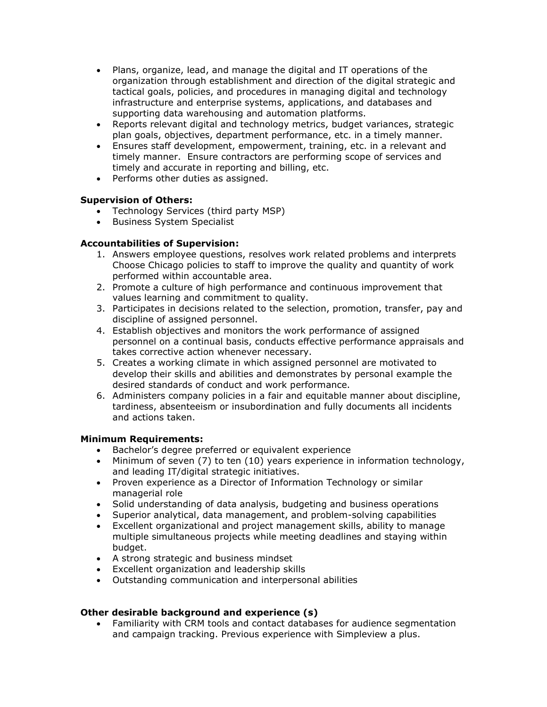- Plans, organize, lead, and manage the digital and IT operations of the organization through establishment and direction of the digital strategic and tactical goals, policies, and procedures in managing digital and technology infrastructure and enterprise systems, applications, and databases and supporting data warehousing and automation platforms.
- Reports relevant digital and technology metrics, budget variances, strategic plan goals, objectives, department performance, etc. in a timely manner.
- Ensures staff development, empowerment, training, etc. in a relevant and timely manner. Ensure contractors are performing scope of services and timely and accurate in reporting and billing, etc.
- Performs other duties as assigned.

## **Supervision of Others:**

- Technology Services (third party MSP)
- Business System Specialist

## **Accountabilities of Supervision:**

- 1. Answers employee questions, resolves work related problems and interprets Choose Chicago policies to staff to improve the quality and quantity of work performed within accountable area.
- 2. Promote a culture of high performance and continuous improvement that values learning and commitment to quality.
- 3. Participates in decisions related to the selection, promotion, transfer, pay and discipline of assigned personnel.
- 4. Establish objectives and monitors the work performance of assigned personnel on a continual basis, conducts effective performance appraisals and takes corrective action whenever necessary.
- 5. Creates a working climate in which assigned personnel are motivated to develop their skills and abilities and demonstrates by personal example the desired standards of conduct and work performance.
- 6. Administers company policies in a fair and equitable manner about discipline, tardiness, absenteeism or insubordination and fully documents all incidents and actions taken.

### **Minimum Requirements:**

- Bachelor's degree preferred or equivalent experience
- Minimum of seven (7) to ten (10) years experience in information technology, and leading IT/digital strategic initiatives.
- Proven experience as a Director of Information Technology or similar managerial role
- Solid understanding of data analysis, budgeting and business operations
- Superior analytical, data management, and problem-solving capabilities
- Excellent organizational and project management skills, ability to manage multiple simultaneous projects while meeting deadlines and staying within budget.
- A strong strategic and business mindset
- Excellent organization and leadership skills
- Outstanding communication and interpersonal abilities

### **Other desirable background and experience (s)**

• Familiarity with CRM tools and contact databases for audience segmentation and campaign tracking. Previous experience with Simpleview a plus.